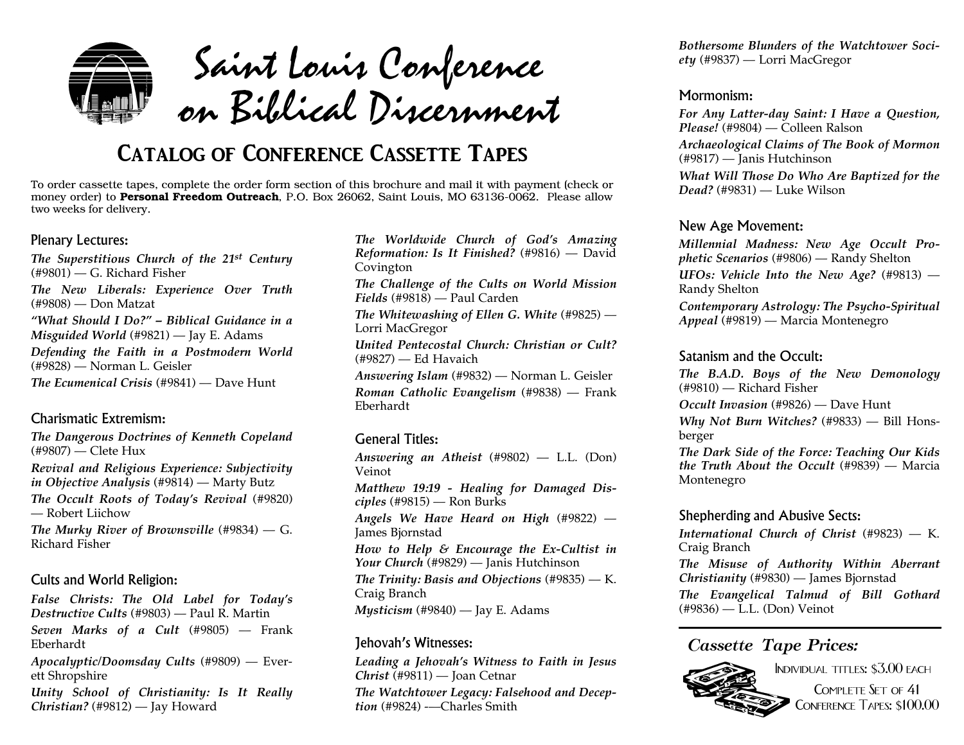

Saint Louis Conference on Biblical Discernment

## **Catalog of Conference Cassette Tapes**

To order cassette tapes, complete the order form section of this brochure and mail it with paymen<sup>t</sup> (check or money order) to **Personal Freedom Outreach**, P.O. Box 26062, Saint Louis, MO 63136-0062. Please allow two weeks for delivery.

#### Plenary Lectures:

*The Superstitious Church of the 21st Century* (#9801) — G. Richard Fisher *The New Liberals: Experience Over Truth* (#9808) — Don Matzat *"What Should I Do?" – Biblical Guidance in <sup>a</sup>Misguided World* (#9821) — Jay E. Adams *Defending the Faith in <sup>a</sup> Postmodern World* (#9828) — Norman L. Geisler *The Ecumenical Crisis* (#9841) — Dave Hunt

#### Charismatic Extremism:

*The Dangerous Doctrines of Kenneth Copeland* (#9807) — Clete Hux

*Revival and Religious Experience: Subjectivity in Objective Analysis* (#9814) — Marty Butz

*The Occult Roots of Today's Revival* (#9820) — Robert Liichow

*The Murky River of Brownsville* (#9834) — G. Richard Fisher

#### Cults and World Religion:

*False Christs: The Old Label for Today's Destructive Cults* (#9803) — Paul R. Martin *Seven Marks of <sup>a</sup> Cult* (#9805) — Frank Eberhardt*Apocalyptic/Doomsday Cults* (#9809) — Everett Shropshire

*Unity School of Christianity: Is It Really Christian?* (#9812) — Jay Howard

*The Worldwide Church of God's Amazing Reformation: Is It Finished?* (#9816) — David Covington *The Challenge of the Cults on World Mission Fields* (#9818) — Paul Carden *The Whitewashing of Ellen G. White* (#9825) — Lorri MacGregor *United Pentecostal Church: Christian or Cult?* (#9827) — Ed Havaich *Answering Islam* (#9832) — Norman L. Geisler *Roman Catholic Evangelism* (#9838) — Frank Eberhardt

#### General Titles:

*Answering an Atheist* (#9802) — L.L. (Don) Veinot*Matthew 19:19 - Healing for Damaged Disciples* (#9815) — Ron Burks *Angels We Have Heard on High* (#9822) — James Bjornstad *How to Help & Encourage the Ex-Cultist in Your Church* (#9829) — Janis Hutchinson *The Trinity: Basis and Objections* (#9835) — K. Craig Branch *Mysticism* (#9840) — Jay E. Adams

#### Jehovah's Witnesses:

*Leading <sup>a</sup> Jehovah's Witness to Faith in Jesus Christ* (#9811) — Joan Cetnar

*The Watchtower Legacy: Falsehood and Deception* (#9824) -—Charles Smith

*Bothersome Blunders of the Watchtower Society* (#9837) — Lorri MacGregor

#### Mormonism:

*For Any Latter-day Saint: <sup>I</sup> Have <sup>a</sup> Question, Please!* (#9804) — Colleen Ralson *Archaeological Claims of The Book of Mormon* (#9817) — Janis Hutchinson *What Will Those Do Who Are Baptized for the Dead?* (#9831) — Luke Wilson

#### New Age Movement:

*Millennial Madness: New Age Occult Prophetic Scenarios* (#9806) — Randy Shelton  $UFOs: Vehicle Into the New Age?$  (#9813) — Randy Shelton *Contemporary Astrology: The Psycho-Spiritual*

*Appeal* (#9819) — Marcia Montenegro

#### Satanism and the Occult:

*The B.A.D. Boys of the New Demonology* (#9810) — Richard Fisher

*Occult Invasion* (#9826) — Dave Hunt

*Why Not Burn Witches?* (#9833) — Bill Honsberger

*The Dark Side of the Force: Teaching Our Kids the Truth About the Occult* (#9839) — Marcia Montenegro

#### Shepherding and Abusive Sects:

*International Church of Christ* (#9823) — K. Craig Branch

*The Misuse of Authority Within Aberrant Christianity* (#9830) — James Bjornstad *The Evangelical Talmud of Bill Gothard*

(#9836) — L.L. (Don) Veinot

#### *Cassette Tape Prices:*



Individual titles: \$3.00 each COMPLETE SET OF 41 Conference Tapes: \$100.00